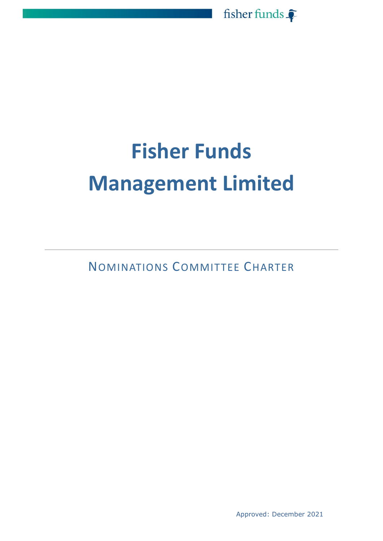

# **Fisher Funds Management Limited**

NOMINATIONS COMMITTEE CHARTER

Approved: December 2021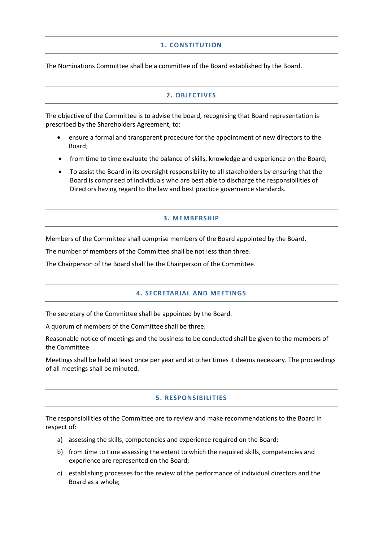## **1. CONSTITUTION**

The Nominations Committee shall be a committee of the Board established by the Board.

## **2. OBJECTIVES**

The objective of the Committee is to advise the board, recognising that Board representation is prescribed by the Shareholders Agreement, to:

- ensure a formal and transparent procedure for the appointment of new directors to the Board;
- from time to time evaluate the balance of skills, knowledge and experience on the Board;
- To assist the Board in its oversight responsibility to all stakeholders by ensuring that the Board is comprised of individuals who are best able to discharge the responsibilities of Directors having regard to the law and best practice governance standards.

### **3. MEMBERSHIP**

Members of the Committee shall comprise members of the Board appointed by the Board.

The number of members of the Committee shall be not less than three.

The Chairperson of the Board shall be the Chairperson of the Committee.

#### **4. SECRETARIAL AND MEETINGS**

The secretary of the Committee shall be appointed by the Board.

A quorum of members of the Committee shall be three.

Reasonable notice of meetings and the business to be conducted shall be given to the members of the Committee.

Meetings shall be held at least once per year and at other times it deems necessary. The proceedings of all meetings shall be minuted.

#### **5. RESPONSIBILITIES**

The responsibilities of the Committee are to review and make recommendations to the Board in respect of:

- a) assessing the skills, competencies and experience required on the Board;
- b) from time to time assessing the extent to which the required skills, competencies and experience are represented on the Board;
- c) establishing processes for the review of the performance of individual directors and the Board as a whole;